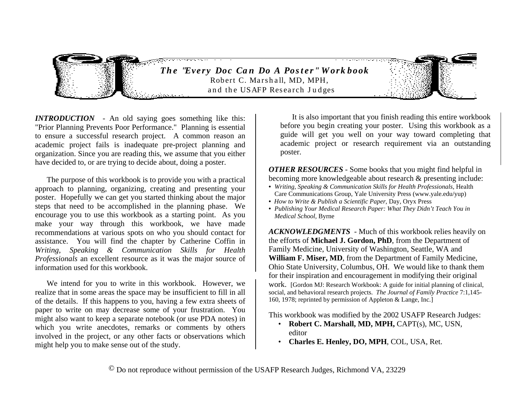

*INTRODUCTION* - An old saying goes something like this: "Prior Planning Prevents Poor Performance." Planning is essential to ensure a successful research project. A common reason an academic project fails is inadequate pre-project planning and organization. Since you are reading this, we assume that you either have decided to, or are trying to decide about, doing a poster.

 The purpose of this workbook is to provide you with a practical approach to planning, organizing, creating and presenting your poster. Hopefully we can get you started thinking about the major steps that need to be accomplished in the planning phase. We encourage you to use this workbook as a starting point. As you make your way through this workbook, we have made recommendations at various spots on who you should contact for assistance. You will find the chapter by Catherine Coffin in *Writing, Speaking & Communication Skills for Health Professionals* an excellent resource as it was the major source of information used for this workbook.

 We intend for you to write in this workbook. However, we realize that in some areas the space may be insufficient to fill in all of the details. If this happens to you, having a few extra sheets of paper to write on may decrease some of your frustration. You might also want to keep a separate notebook (or use PDA notes) in which you write anecdotes, remarks or comments by others involved in the project, or any other facts or observations which might help you to make sense out of the study.

 It is also important that you finish reading this entire workbook before you begin creating your poster. Using this workbook as a guide will get you well on your way toward completing that academic project or research requirement via an outstanding poster.

*OTHER RESOURCES* - Some books that you might find helpful in becoming more knowledgeable about research & presenting include:

- *Writing, Speaking & Communication Skills for Health Professionals*, Health Care Communications Group, Yale University Press (www.yale.edu/yup)
- *How to Write & Publish a Scientific Paper*, Day, Oryx Press
- *Publishing Your Medical Research Paper: What They Didn't Teach You in Medical School,* Byrne

*ACKNOWLEDGMENTS* - Much of this workbook relies heavily on the efforts of **Michael J. Gordon, PhD**, from the Department of Family Medicine, University of Washington, Seattle, WA and **William F. Miser, MD**, from the Department of Family Medicine, Ohio State University, Columbus, OH. We would like to thank them for their inspiration and encouragement in modifying their original work. [Gordon MJ: Research Workbook: A guide for initial planning of clinical, social, and behavioral research projects. *The Journal of Family Practice* 7:1,145- 160, 1978; reprinted by permission of Appleton & Lange, Inc.]

This workbook was modified by the 2002 USAFP Research Judges:

- **Robert C. Marshall, MD, MPH,** CAPT(s), MC, USN, editor
- **Charles E. Henley, DO, MPH**, COL, USA, Ret.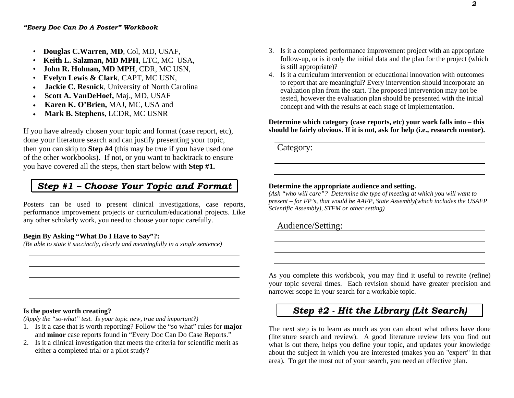- **Douglas C.Warren, MD**, Col, MD, USAF,
- **Keith L. Salzman, MD MPH**, LTC, MC USA,
- **John R. Holman, MD MPH**, CDR, MC USN,
- **Evelyn Lewis & Clark**, CAPT, MC USN,
- . **Jackie C. Resnick**, University of North Carolina
- . **Scott A. VanDeHoef,** Maj., MD, USAF
- . **Karen K. O'Brien,** MAJ, MC, USA and
- . **Mark B. Stephens**, LCDR, MC USNR

If you have already chosen your topic and format (case report, etc), done your literature search and can justify presenting your topic, then you can skip to **Step #4** (this may be true if you have used one of the other workbooks). If not, or you want to backtrack to ensure you have covered all the steps, then start below with **Step #1.** 

# *Step #1 – Choose Your Topic and Format*

Posters can be used to present clinical investigations, case reports, performance improvement projects or curriculum/educational projects. Like any other scholarly work, you need to choose your topic carefully.

### **Begin By Asking "What Do I Have to Say"?:**

*(Be able to state it succinctly, clearly and meaningfully in a single sentence)* 

- 3. Is it a completed performance improvement project with an appropriate follow-up, or is it only the initial data and the plan for the project (which is still appropriate)?
- 4. Is it a curriculum intervention or educational innovation with outcomes to report that are meaningful? Every intervention should incorporate an evaluation plan from the start. The proposed intervention may not be tested, however the evaluation plan should be presented with the initial concept and with the results at each stage of implementation.

## **Determine which category (case reports, etc) your work falls into – this should be fairly obvious. If it is not, ask for help (i.e., research mentor).**

Category:

## **Determine the appropriate audience and setting.**

*(Ask "who will care"? Determine the type of meeting at which you will want to present – for FP's, that would be AAFP, State Assembly(which includes the USAFP Scientific Assembly), STFM or other setting)* 

Audience/Setting:

As you complete this workbook, you may find it useful to rewrite (refine) your topic several times. Each revision should have greater precision and narrower scope in your search for a workable topic.

# *Step #2 - Hit the Library (Lit Search)*

The next step is to learn as much as you can about what others have done (literature search and review). A good literature review lets you find out what is out there, helps you define your topic, and updates your knowledge about the subject in which you are interested (makes you an "expert" in that area). To get the most out of your search, you need an effective plan.

#### **Is the poster worth creating?**

*(Apply the "so-what" test. Is your topic new, true and important?)* 

- 1. Is it a case that is worth reporting? Follow the "so what" rules for **major** and **minor** case reports found in "Every Doc Can Do Case Reports."
- 2. Is it a clinical investigation that meets the criteria for scientific merit as either a completed trial or a pilot study?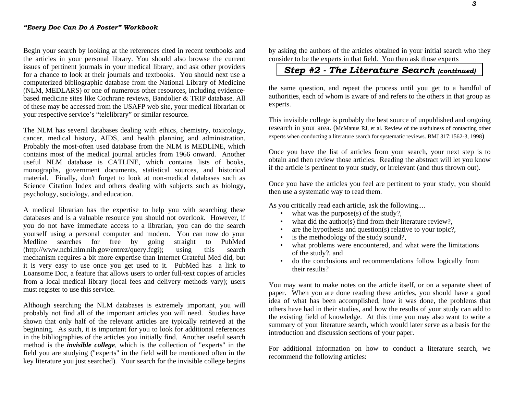Begin your search by looking at the references cited in recent textbooks and the articles in your personal library. You should also browse the current issues of pertinent journals in your medical library, and ask other providers for a chance to look at their journals and textbooks. You should next use a computerized bibliographic database from the National Library of Medicine (NLM, MEDLARS) or one of numerous other resources, including evidencebased medicine sites like Cochrane reviews, Bandolier & TRIP database. All of these may be accessed from the USAFP web site, your medical librarian or your respective service's "telelibrary" or similar resource.

The NLM has several databases dealing with ethics, chemistry, toxicology, cancer, medical history, AIDS, and health planning and administration. Probably the most-often used database from the NLM is MEDLINE, which contains most of the medical journal articles from 1966 onward. Another useful NLM database is CATLINE, which contains lists of books, monographs, government documents, statistical sources, and historical material. Finally, don't forget to look at non-medical databases such as Science Citation Index and others dealing with subjects such as biology, psychology, sociology, and education.

A medical librarian has the expertise to help you with searching these databases and is a valuable resource you should not overlook. However, if you do not have immediate access to a librarian, you can do the search yourself using a personal computer and modem. You can now do your Medline searches for free by going straight to PubMed (http://www.ncbi.nlm.nih.gov/entrez/query.fcgi); using this search (http://www.ncbi.nlm.nih.gov/entrez/query.fcgi); using this search mechanism requires a bit more expertise than Internet Grateful Med did, but it is very easy to use once you get used to it. PubMed has a link to Loansome Doc, a feature that allows users to order full-text copies of articles from a local medical library (local fees and delivery methods vary); users must register to use this service.

Although searching the NLM databases is extremely important, you will probably not find all of the important articles you will need. Studies have shown that only half of the relevant articles are typically retrieved at the beginning. As such, it is important for you to look for additional references in the bibliographies of the articles you initially find. Another useful search method is the *invisible college*, which is the collection of "experts" in the field you are studying ("experts" in the field will be mentioned often in the key literature you just searched). Your search for the invisible college begins

by asking the authors of the articles obtained in your initial search who they consider to be the experts in that field. You then ask those experts

## *Step #2 - The Literature Search (continued)*

the same question, and repeat the process until you get to a handful of authorities, each of whom is aware of and refers to the others in that group as experts.

This invisible college is probably the best source of unpublished and ongoing research in your area. (McManus RJ, et al. Review of the usefulness of contacting other experts when conducting a literature search for systematic reviews. BMJ 317:1562-3, 1998)

Once you have the list of articles from your search, your next step is to obtain and then review those articles. Reading the abstract will let you know if the article is pertinent to your study, or irrelevant (and thus thrown out).

Once you have the articles you feel are pertinent to your study, you should then use a systematic way to read them.

As you critically read each article, ask the following....

- what was the purpose $(s)$  of the study?,
- what did the author(s) find from their literature review?,
- are the hypothesis and question(s) relative to your topic?,
- is the methodology of the study sound?,
- what problems were encountered, and what were the limitations of the study?, and
- do the conclusions and recommendations follow logically from their results?

You may want to make notes on the article itself, or on a separate sheet of paper. When you are done reading these articles, you should have a good idea of what has been accomplished, how it was done, the problems that others have had in their studies, and how the results of your study can add to the existing field of knowledge. At this time you may also want to write a summary of your literature search, which would later serve as a basis for the introduction and discussion sections of your paper.

For additional information on how to conduct a literature search, we recommend the following articles: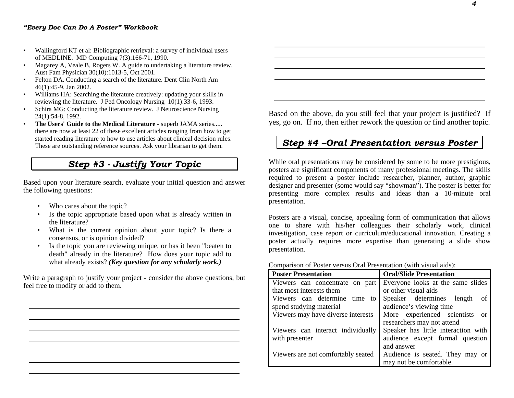#### *"Every Doc Can Do A Poster" Workbook*

- Wallingford KT et al: Bibliographic retrieval: a survey of individual users of MEDLINE. MD Computing 7(3):166-71, 1990.
- Magarey A, Veale B, Rogers W. A guide to undertaking a literature review. Aust Fam Physician 30(10):1013-5, Oct 2001.
- Felton DA. Conducting a search of the literature. Dent Clin North Am 46(1):45-9, Jan 2002.
- Williams HA: Searching the literature creatively: updating your skills in reviewing the literature. J Ped Oncology Nursing 10(1):33-6, 1993.
- Schira MG: Conducting the literature review. J Neuroscience Nursing 24(1):54-8, 1992.
- **The Users' Guide to the Medical Literature** superb JAMA series..... there are now at least 22 of these excellent articles ranging from how to get started reading literature to how to use articles about clinical decision rules. These are outstanding reference sources. Ask your librarian to get them.

# *Step #3 - Justify Your Topic*

Based upon your literature search, evaluate your initial question and answer the following questions:

- Who cares about the topic?
- Is the topic appropriate based upon what is already written in the literature?
- What is the current opinion about your topic? Is there a consensus, or is opinion divided?
- Is the topic you are reviewing unique, or has it been "beaten to death" already in the literature? How does your topic add to what already exists? *(Key question for any scholarly work.)*

Write a paragraph to justify your project - consider the above questions, but feel free to modify or add to them.



Based on the above, do you still feel that your project is justified? If yes, go on. If no, then either rework the question or find another topic.

# *Step #4 –Oral Presentation versus Poster*

While oral presentations may be considered by some to be more prestigious, posters are significant components of many professional meetings. The skills required to present a poster include researcher, planner, author, graphic designer and presenter (some would say "showman"). The poster is better for presenting more complex results and ideas than a 10-minute oral presentation.

Posters are a visual, concise, appealing form of communication that allows one to share with his/her colleagues their scholarly work, clinical investigation, case report or curriculum/educational innovation. Creating a poster actually requires more expertise than generating a slide show presentation.

Comparison of Poster versus Oral Presentation (with visual aids):

| <b>Poster Presentation</b>         | <b>Oral/Slide Presentation</b>      |  |  |  |  |
|------------------------------------|-------------------------------------|--|--|--|--|
| Viewers can concentrate on part    | Everyone looks at the same slides   |  |  |  |  |
| that most interests them           | or other visual aids                |  |  |  |  |
| Viewers can determine time<br>to   | Speaker determines length<br>of     |  |  |  |  |
| spend studying material            | audience's viewing time             |  |  |  |  |
| Viewers may have diverse interests | More experienced scientists or      |  |  |  |  |
|                                    | researchers may not attend          |  |  |  |  |
| Viewers can interact individually  | Speaker has little interaction with |  |  |  |  |
| with presenter                     | audience except formal question     |  |  |  |  |
|                                    | and answer                          |  |  |  |  |
| Viewers are not comfortably seated | Audience is seated. They may or     |  |  |  |  |
|                                    | may not be comfortable.             |  |  |  |  |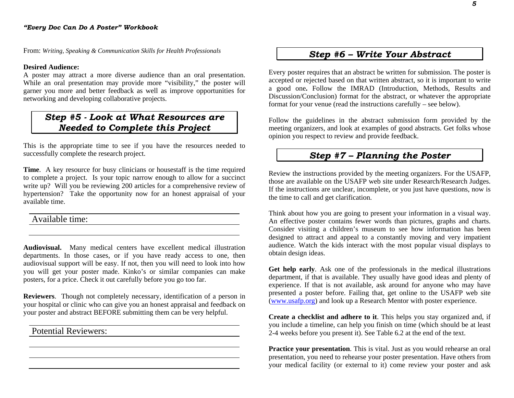From: *Writing, Speaking & Communication Skills for Health Professionals*

#### **Desired Audience:**

A poster may attract a more diverse audience than an oral presentation. While an oral presentation may provide more "visibility," the poster will garner you more and better feedback as well as improve opportunities for networking and developing collaborative projects.

# *Step #5 - Look at What Resources are Needed to Complete this Project*

This is the appropriate time to see if you have the resources needed to successfully complete the research project.

**Time**. A key resource for busy clinicians or housestaff is the time required to complete a project. Is your topic narrow enough to allow for a succinct write up? Will you be reviewing 200 articles for a comprehensive review of hypertension? Take the opportunity now for an honest appraisal of your available time.

Available time:

**Audiovisual.** Many medical centers have excellent medical illustration departments. In those cases, or if you have ready access to one, then audiovisual support will be easy. If not, then you will need to look into how you will get your poster made. Kinko's or similar companies can make posters, for a price. Check it out carefully before you go too far.

**Reviewers**. Though not completely necessary, identification of a person in your hospital or clinic who can give you an honest appraisal and feedback on your poster and abstract BEFORE submitting them can be very helpful.

<u> 1989 - Johann Stoff, deutscher Stoff, der Stoff, der Stoff, der Stoff, der Stoff, der Stoff, der Stoff, der S</u>

Potential Reviewers:

## *Step #6 – Write Your Abstract*

Every poster requires that an abstract be written for submission. The poster is accepted or rejected based on that written abstract, so it is important to write a good one**.** Follow the IMRAD (Introduction, Methods, Results and Discussion/Conclusion) format for the abstract, or whatever the appropriate format for your venue (read the instructions carefully – see below).

Follow the guidelines in the abstract submission form provided by the meeting organizers, and look at examples of good abstracts. Get folks whose opinion you respect to review and provide feedback.

# *Step #7 – Planning the Poster*

Review the instructions provided by the meeting organizers. For the USAFP, those are available on the USAFP web site under Research/Research Judges. If the instructions are unclear, incomplete, or you just have questions, now is the time to call and get clarification.

Think about how you are going to present your information in a visual way. An effective poster contains fewer words than pictures, graphs and charts. Consider visiting a children's museum to see how information has been designed to attract and appeal to a constantly moving and very impatient audience. Watch the kids interact with the most popular visual displays to obtain design ideas.

**Get help early**. Ask one of the professionals in the medical illustrations department, if that is available. They usually have good ideas and plenty of experience. If that is not available, ask around for anyone who may have presented a poster before. Failing that, get online to the USAFP web site (www.usafp.org) and look up a Research Mentor with poster experience.

**Create a checklist and adhere to it**. This helps you stay organized and, if you include a timeline, can help you finish on time (which should be at least 2-4 weeks before you present it). See Table 6.2 at the end of the text.

**Practice your presentation**. This is vital. Just as you would rehearse an oral presentation, you need to rehearse your poster presentation. Have others from your medical facility (or external to it) come review your poster and ask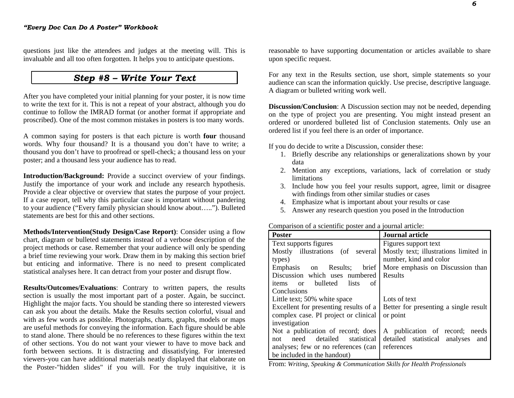questions just like the attendees and judges at the meeting will. This is invaluable and all too often forgotten. It helps you to anticipate questions.

## *Step #8 – Write Your Text*

After you have completed your initial planning for your poster, it is now time to write the text for it. This is not a repeat of your abstract, although you do continue to follow the IMRAD format (or another format if appropriate and proscribed). One of the most common mistakes in posters is too many words.

A common saying for posters is that each picture is worth **four** thousand words. Why four thousand? It is a thousand you don't have to write; a thousand you don't have to proofread or spell-check; a thousand less on your poster; and a thousand less your audience has to read.

**Introduction/Background:** Provide a succinct overview of your findings. Justify the importance of your work and include any research hypothesis. Provide a clear objective or overview that states the purpose of your project. If a case report, tell why this particular case is important without pandering to your audience ("Every family physician should know about….."). Bulleted statements are best for this and other sections.

**Methods/Intervention(Study Design/Case Report)**: Consider using a flow chart, diagram or bulleted statements instead of a verbose description of the project methods or case. Remember that your audience will only be spending a brief time reviewing your work. Draw them in by making this section brief but enticing and informative. There is no need to present complicated statistical analyses here. It can detract from your poster and disrupt flow.

**Results/Outcomes/Evaluations**: Contrary to written papers, the results section is usually the most important part of a poster. Again, be succinct. Highlight the major facts. You should be standing there so interested viewers can ask you about the details. Make the Results section colorful, visual and with as few words as possible. Photographs, charts, graphs, models or maps are useful methods for conveying the information. Each figure should be able to stand alone. There should be no references to these figures within the text of other sections. You do not want your viewer to have to move back and forth between sections. It is distracting and dissatisfying. For interested viewers-you can have additional materials neatly displayed that elaborate on the Poster-"hidden slides" if you will. For the truly inquisitive, it is reasonable to have supporting documentation or articles available to share upon specific request.

For any text in the Results section, use short, simple statements so your audience can scan the information quickly. Use precise, descriptive language. A diagram or bulleted writing work well.

**Discussion/Conclusion**: A Discussion section may not be needed, depending on the type of project you are presenting. You might instead present an ordered or unordered bulleted list of Conclusion statements. Only use an ordered list if you feel there is an order of importance.

If you do decide to write a Discussion, consider these:

- 1. Briefly describe any relationships or generalizations shown by your data
- 2. Mention any exceptions, variations, lack of correlation or study limitations
- 3. Include how you feel your results support, agree, limit or disagree with findings from other similar studies or cases
- 4. Emphasize what is important about your results or case
- 5. Answer any research question you posed in the Introduction

|  |  | Comparison of a scientific poster and a journal article: |  |  |
|--|--|----------------------------------------------------------|--|--|
|  |  |                                                          |  |  |
|  |  |                                                          |  |  |
|  |  |                                                          |  |  |
|  |  |                                                          |  |  |

| <b>Poster</b>                         | <b>Journal article</b>                |  |  |  |
|---------------------------------------|---------------------------------------|--|--|--|
| Text supports figures                 | Figures support text                  |  |  |  |
| Mostly illustrations (of several      | Mostly text; illustrations limited in |  |  |  |
| types)                                | number, kind and color                |  |  |  |
| Emphasis on Results; brief            | More emphasis on Discussion than      |  |  |  |
| Discussion which uses numbered        | Results                               |  |  |  |
| bulleted lists<br>items or<br>of      |                                       |  |  |  |
| Conclusions                           |                                       |  |  |  |
| Little text; 50% white space          | Lots of text                          |  |  |  |
| Excellent for presenting results of a | Better for presenting a single result |  |  |  |
| complex case. PI project or clinical  | or point                              |  |  |  |
| investigation                         |                                       |  |  |  |
| Not a publication of record; does     | A publication of record; needs        |  |  |  |
| need detailed statistical<br>not      | detailed statistical analyses<br>and  |  |  |  |
| analyses; few or no references (can   | references                            |  |  |  |
| be included in the handout)           |                                       |  |  |  |

From: *Writing, Speaking & Communication Skills for Health Professionals*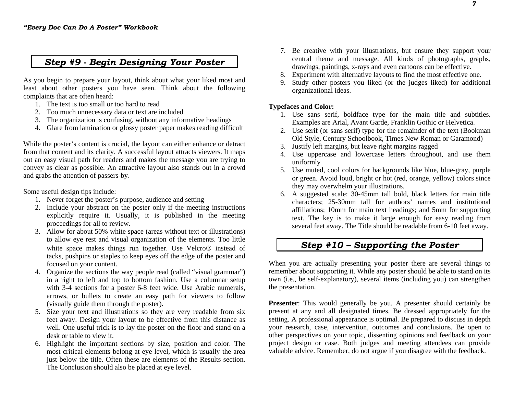# *Step #9 - Begin Designing Your Poster*

As you begin to prepare your layout, think about what your liked most and least about other posters you have seen. Think about the following complaints that are often heard:

- 1. The text is too small or too hard to read
- 2. Too much unnecessary data or text are included
- 3. The organization is confusing, without any informative headings
- 4. Glare from lamination or glossy poster paper makes reading difficult

While the poster's content is crucial, the layout can either enhance or detract from that content and its clarity. A successful layout attracts viewers. It maps out an easy visual path for readers and makes the message you are trying to convey as clear as possible. An attractive layout also stands out in a crowd and grabs the attention of passers-by.

Some useful design tips include:

- 1. Never forget the poster's purpose, audience and setting
- 2. Include your abstract on the poster only if the meeting instructions explicitly require it. Usually, it is published in the meeting proceedings for all to review.
- 3. Allow for about 50% white space (areas without text or illustrations) to allow eye rest and visual organization of the elements. Too little white space makes things run together. Use Velcro instead of tacks, pushpins or staples to keep eyes off the edge of the poster and focused on your content.
- 4. Organize the sections the way people read (called "visual grammar") in a right to left and top to bottom fashion. Use a columnar setup with 3-4 sections for a poster 6-8 feet wide. Use Arabic numerals, arrows, or bullets to create an easy path for viewers to follow (visually guide them through the poster).
- 5. Size your text and illustrations so they are very readable from six feet away. Design your layout to be effective from this distance as well. One useful trick is to lay the poster on the floor and stand on a desk or table to view it.
- 6. Highlight the important sections by size, position and color. The most critical elements belong at eye level, which is usually the area just below the title. Often these are elements of the Results section. The Conclusion should also be placed at eye level.
- 7. Be creative with your illustrations, but ensure they support your central theme and message. All kinds of photographs, graphs, drawings, paintings, x-rays and even cartoons can be effective.
- 8. Experiment with alternative layouts to find the most effective one.
- 9. Study other posters you liked (or the judges liked) for additional organizational ideas.

#### **Typefaces and Color:**

- 1. Use sans serif, boldface type for the main title and subtitles. Examples are Arial, Avant Garde, Franklin Gothic or Helvetica.
- 2. Use serif (or sans serif) type for the remainder of the text (Bookman Old Style, Century Schoolbook, Times New Roman or Garamond)
- 3. Justify left margins, but leave right margins ragged
- 4. Use uppercase and lowercase letters throughout, and use them uniformly
- 5. Use muted, cool colors for backgrounds like blue, blue-gray, purple or green. Avoid loud, bright or hot (red, orange, yellow) colors since they may overwhelm your illustrations.
- 6. A suggested scale: 30-45mm tall bold, black letters for main title characters; 25-30mm tall for authors' names and institutional affiliations; 10mm for main text headings; and 5mm for supporting text. The key is to make it large enough for easy reading from several feet away. The Title should be readable from 6-10 feet away.

# *Step #10 – Supporting the Poster*

When you are actually presenting your poster there are several things to remember about supporting it. While any poster should be able to stand on its own (i.e., be self-explanatory), several items (including you) can strengthen the presentation.

**Presenter**: This would generally be you. A presenter should certainly be present at any and all designated times. Be dressed appropriately for the setting. A professional appearance is optimal. Be prepared to discuss in depth your research, case, intervention, outcomes and conclusions. Be open to other perspectives on your topic, dissenting opinions and feedback on your project design or case. Both judges and meeting attendees can provide valuable advice. Remember, do not argue if you disagree with the feedback.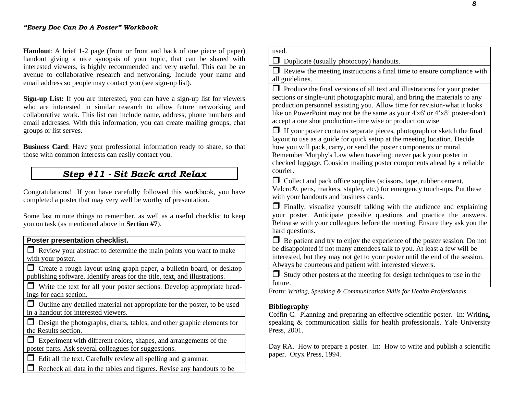**Handout**: A brief 1-2 page (front or front and back of one piece of paper) handout giving a nice synopsis of your topic, that can be shared with interested viewers, is highly recommended and very useful. This can be an avenue to collaborative research and networking. Include your name and email address so people may contact you (see sign-up list).

**Sign-up List:** If you are interested, you can have a sign-up list for viewers who are interested in similar research to allow future networking and collaborative work. This list can include name, address, phone numbers and email addresses. With this information, you can create mailing groups, chat groups or list serves.

**Business Card**: Have your professional information ready to share, so that those with common interests can easily contact you.

# *Step #11 - Sit Back and Relax*

Congratulations! If you have carefully followed this workbook, you have completed a poster that may very well be worthy of presentation.

Some last minute things to remember, as well as a useful checklist to keep you on task (as mentioned above in **Section #7**).

**Poster presentation checklist.** 

 $\Box$  Review your abstract to determine the main points you want to make with your poster.

 Create a rough layout using graph paper, a bulletin board, or desktop publishing software. Identify areas for the title, text, and illustrations.

 Write the text for all your poster sections. Develop appropriate headings for each section.

 $\Box$  Outline any detailed material not appropriate for the poster, to be used in a handout for interested viewers.

 $\Box$  Design the photographs, charts, tables, and other graphic elements for the Results section.

 Experiment with different colors, shapes, and arrangements of the poster parts. Ask several colleagues for suggestions.

 $\Box$  Edit all the text. Carefully review all spelling and grammar.

 $\Box$  Recheck all data in the tables and figures. Revise any handouts to be

| used.                                                                                                                                                                                                                                                                                                                                                                                     |
|-------------------------------------------------------------------------------------------------------------------------------------------------------------------------------------------------------------------------------------------------------------------------------------------------------------------------------------------------------------------------------------------|
| П<br>Duplicate (usually photocopy) handouts.                                                                                                                                                                                                                                                                                                                                              |
| $\Box$ Review the meeting instructions a final time to ensure compliance with<br>all guidelines.                                                                                                                                                                                                                                                                                          |
| Produce the final versions of all text and illustrations for your poster<br>sections or single-unit photographic mural, and bring the materials to any<br>production personnel assisting you. Allow time for revision-what it looks<br>like on PowerPoint may not be the same as your 4'x6' or 4'x8' poster-don't<br>accept a one shot production-time wise or production wise            |
| $\Box$ If your poster contains separate pieces, photograph or sketch the final<br>layout to use as a guide for quick setup at the meeting location. Decide<br>how you will pack, carry, or send the poster components or mural.<br>Remember Murphy's Law when traveling: never pack your poster in<br>checked luggage. Consider mailing poster components ahead by a reliable<br>courier. |
| $\Box$ Collect and pack office supplies (scissors, tape, rubber cement,<br>Velcro®, pens, markers, stapler, etc.) for emergency touch-ups. Put these<br>with your handouts and business cards.                                                                                                                                                                                            |
| $\Box$ Finally, visualize yourself talking with the audience and explaining<br>your poster. Anticipate possible questions and practice the answers.<br>Rehearse with your colleagues before the meeting. Ensure they ask you the<br>hard questions.                                                                                                                                       |
| Be patient and try to enjoy the experience of the poster session. Do not<br>be disappointed if not many attendees talk to you. At least a few will be<br>interested, but they may not get to your poster until the end of the session.<br>Always be courteous and patient with interested viewers.                                                                                        |
| Study other posters at the meeting for design techniques to use in the<br>$\Box$<br>future.                                                                                                                                                                                                                                                                                               |
| From: Writing, Speaking & Communication Skills for Health Professionals                                                                                                                                                                                                                                                                                                                   |
| <b>Bibliography</b><br>Coffin C. Planning and preparing an effective scientific poster. In: Writing,<br>speaking & communication skills for health professionals. Yale University<br>Press, 2001.                                                                                                                                                                                         |

Day RA. How to prepare a poster. In: How to write and publish a scientific paper. Oryx Press, 1994.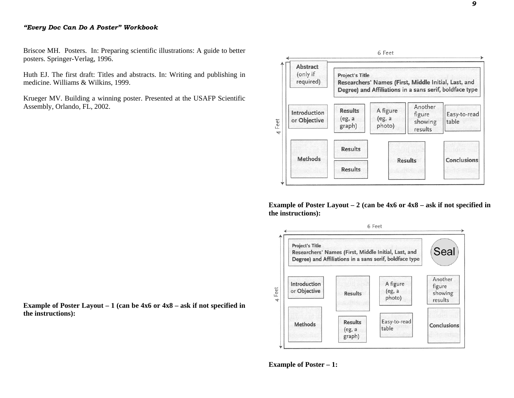#### *"Every Doc Can Do A Poster" Workbook*

Briscoe MH. Posters. In: Preparing scientific illustrations: A guide to better posters. Springer-Verlag, 1996.

Huth EJ. The first draft: Titles and abstracts. In: Writing and publishing in medicine. Williams & Wilkins, 1999.

Krueger MV. Building a winning poster. Presented at the USAFP Scientific Assembly, Orlando, FL, 2002.





**Example of Poster Layout – 2 (can be 4x6 or 4x8 – ask if not specified in the instructions):**